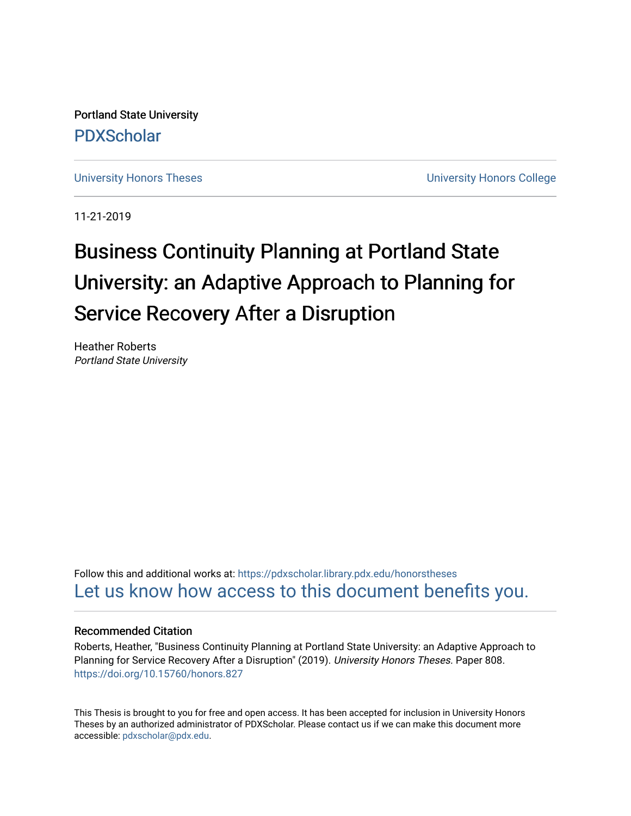Portland State University [PDXScholar](https://pdxscholar.library.pdx.edu/)

[University Honors Theses](https://pdxscholar.library.pdx.edu/honorstheses) **University Honors College** 

11-21-2019

# Business Continuity Planning at Portland State University: an Adaptive Approach to Planning for Service Recovery After a Disruption

Heather Roberts Portland State University

Follow this and additional works at: [https://pdxscholar.library.pdx.edu/honorstheses](https://pdxscholar.library.pdx.edu/honorstheses?utm_source=pdxscholar.library.pdx.edu%2Fhonorstheses%2F808&utm_medium=PDF&utm_campaign=PDFCoverPages)  [Let us know how access to this document benefits you.](http://library.pdx.edu/services/pdxscholar-services/pdxscholar-feedback/) 

## Recommended Citation

Roberts, Heather, "Business Continuity Planning at Portland State University: an Adaptive Approach to Planning for Service Recovery After a Disruption" (2019). University Honors Theses. Paper 808. <https://doi.org/10.15760/honors.827>

This Thesis is brought to you for free and open access. It has been accepted for inclusion in University Honors Theses by an authorized administrator of PDXScholar. Please contact us if we can make this document more accessible: [pdxscholar@pdx.edu.](mailto:pdxscholar@pdx.edu)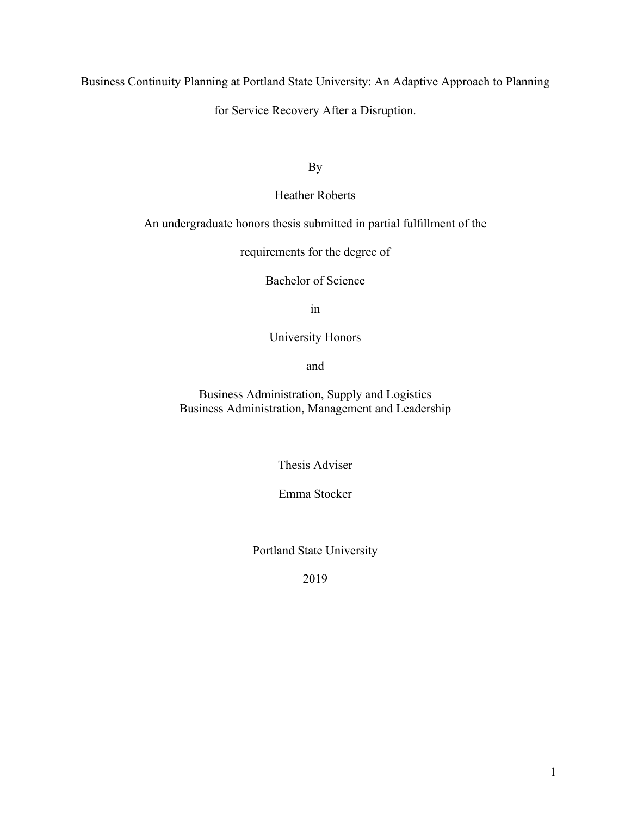Business Continuity Planning at Portland State University: An Adaptive Approach to Planning

for Service Recovery After a Disruption.

By

Heather Roberts

An undergraduate honors thesis submitted in partial fulfillment of the

requirements for the degree of

Bachelor of Science

in

University Honors

and

Business Administration, Supply and Logistics Business Administration, Management and Leadership

Thesis Adviser

Emma Stocker

Portland State University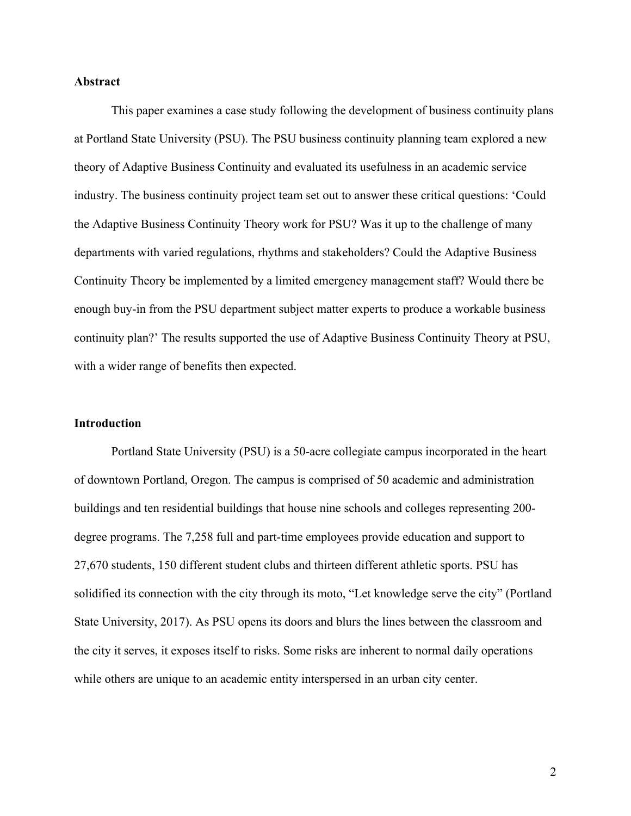# **Abstract**

This paper examines a case study following the development of business continuity plans at Portland State University (PSU). The PSU business continuity planning team explored a new theory of Adaptive Business Continuity and evaluated its usefulness in an academic service industry. The business continuity project team set out to answer these critical questions: 'Could the Adaptive Business Continuity Theory work for PSU? Was it up to the challenge of many departments with varied regulations, rhythms and stakeholders? Could the Adaptive Business Continuity Theory be implemented by a limited emergency management staff? Would there be enough buy-in from the PSU department subject matter experts to produce a workable business continuity plan?' The results supported the use of Adaptive Business Continuity Theory at PSU, with a wider range of benefits then expected.

#### **Introduction**

Portland State University (PSU) is a 50-acre collegiate campus incorporated in the heart of downtown Portland, Oregon. The campus is comprised of 50 academic and administration buildings and ten residential buildings that house nine schools and colleges representing 200 degree programs. The 7,258 full and part-time employees provide education and support to 27,670 students, 150 different student clubs and thirteen different athletic sports. PSU has solidified its connection with the city through its moto, "Let knowledge serve the city" (Portland State University, 2017). As PSU opens its doors and blurs the lines between the classroom and the city it serves, it exposes itself to risks. Some risks are inherent to normal daily operations while others are unique to an academic entity interspersed in an urban city center.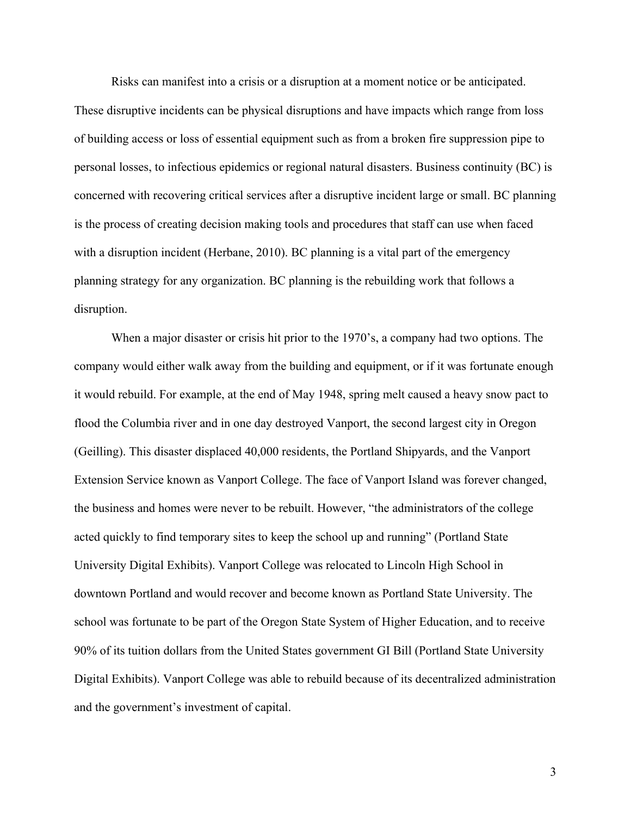Risks can manifest into a crisis or a disruption at a moment notice or be anticipated.

These disruptive incidents can be physical disruptions and have impacts which range from loss of building access or loss of essential equipment such as from a broken fire suppression pipe to personal losses, to infectious epidemics or regional natural disasters. Business continuity (BC) is concerned with recovering critical services after a disruptive incident large or small. BC planning is the process of creating decision making tools and procedures that staff can use when faced with a disruption incident (Herbane, 2010). BC planning is a vital part of the emergency planning strategy for any organization. BC planning is the rebuilding work that follows a disruption.

When a major disaster or crisis hit prior to the 1970's, a company had two options. The company would either walk away from the building and equipment, or if it was fortunate enough it would rebuild. For example, at the end of May 1948, spring melt caused a heavy snow pact to flood the Columbia river and in one day destroyed Vanport, the second largest city in Oregon (Geilling). This disaster displaced 40,000 residents, the Portland Shipyards, and the Vanport Extension Service known as Vanport College. The face of Vanport Island was forever changed, the business and homes were never to be rebuilt. However, "the administrators of the college acted quickly to find temporary sites to keep the school up and running" (Portland State University Digital Exhibits). Vanport College was relocated to Lincoln High School in downtown Portland and would recover and become known as Portland State University. The school was fortunate to be part of the Oregon State System of Higher Education, and to receive 90% of its tuition dollars from the United States government GI Bill (Portland State University Digital Exhibits). Vanport College was able to rebuild because of its decentralized administration and the government's investment of capital.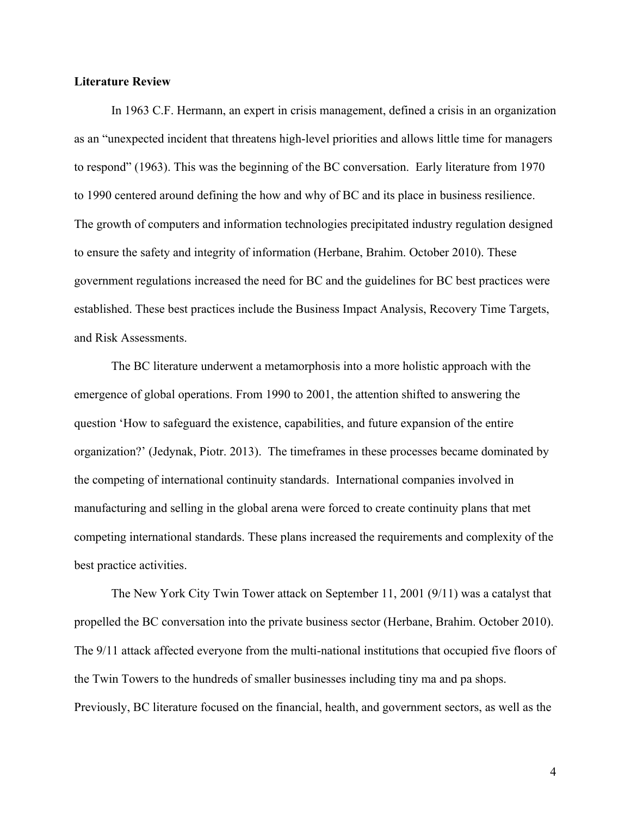### **Literature Review**

In 1963 C.F. Hermann, an expert in crisis management, defined a crisis in an organization as an "unexpected incident that threatens high-level priorities and allows little time for managers to respond" (1963). This was the beginning of the BC conversation. Early literature from 1970 to 1990 centered around defining the how and why of BC and its place in business resilience. The growth of computers and information technologies precipitated industry regulation designed to ensure the safety and integrity of information (Herbane, Brahim. October 2010). These government regulations increased the need for BC and the guidelines for BC best practices were established. These best practices include the Business Impact Analysis, Recovery Time Targets, and Risk Assessments.

The BC literature underwent a metamorphosis into a more holistic approach with the emergence of global operations. From 1990 to 2001, the attention shifted to answering the question 'How to safeguard the existence, capabilities, and future expansion of the entire organization?' (Jedynak, Piotr. 2013). The timeframes in these processes became dominated by the competing of international continuity standards. International companies involved in manufacturing and selling in the global arena were forced to create continuity plans that met competing international standards. These plans increased the requirements and complexity of the best practice activities.

The New York City Twin Tower attack on September 11, 2001 (9/11) was a catalyst that propelled the BC conversation into the private business sector (Herbane, Brahim. October 2010). The 9/11 attack affected everyone from the multi-national institutions that occupied five floors of the Twin Towers to the hundreds of smaller businesses including tiny ma and pa shops. Previously, BC literature focused on the financial, health, and government sectors, as well as the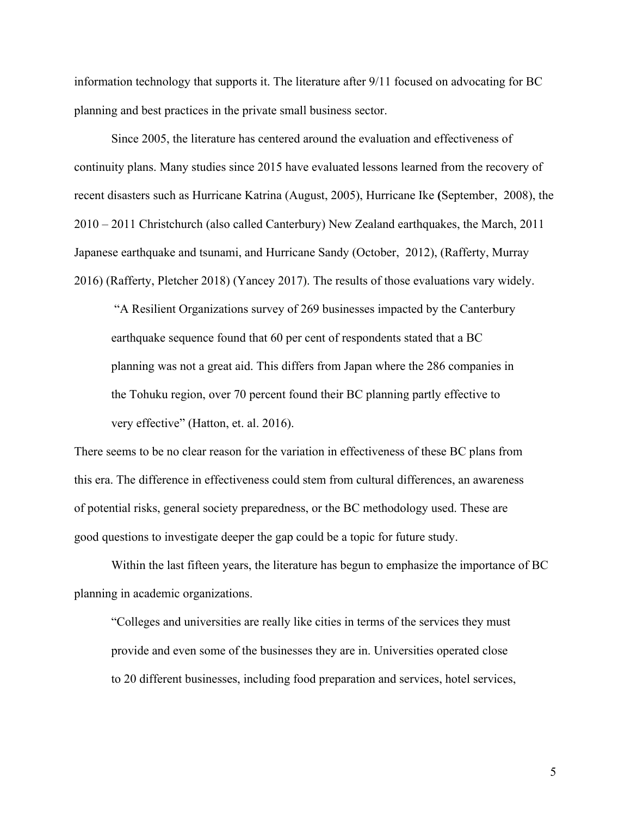information technology that supports it. The literature after 9/11 focused on advocating for BC planning and best practices in the private small business sector.

Since 2005, the literature has centered around the evaluation and effectiveness of continuity plans. Many studies since 2015 have evaluated lessons learned from the recovery of recent disasters such as Hurricane Katrina (August, 2005), Hurricane Ike **(**September, 2008), the 2010 – 2011 Christchurch (also called Canterbury) New Zealand earthquakes, the March, 2011 Japanese earthquake and tsunami, and Hurricane Sandy (October, 2012), (Rafferty, Murray 2016) (Rafferty, Pletcher 2018) (Yancey 2017). The results of those evaluations vary widely.

"A Resilient Organizations survey of 269 businesses impacted by the Canterbury earthquake sequence found that 60 per cent of respondents stated that a BC planning was not a great aid. This differs from Japan where the 286 companies in the Tohuku region, over 70 percent found their BC planning partly effective to very effective" (Hatton, et. al. 2016).

There seems to be no clear reason for the variation in effectiveness of these BC plans from this era. The difference in effectiveness could stem from cultural differences, an awareness of potential risks, general society preparedness, or the BC methodology used. These are good questions to investigate deeper the gap could be a topic for future study.

Within the last fifteen years, the literature has begun to emphasize the importance of BC planning in academic organizations.

"Colleges and universities are really like cities in terms of the services they must provide and even some of the businesses they are in. Universities operated close to 20 different businesses, including food preparation and services, hotel services,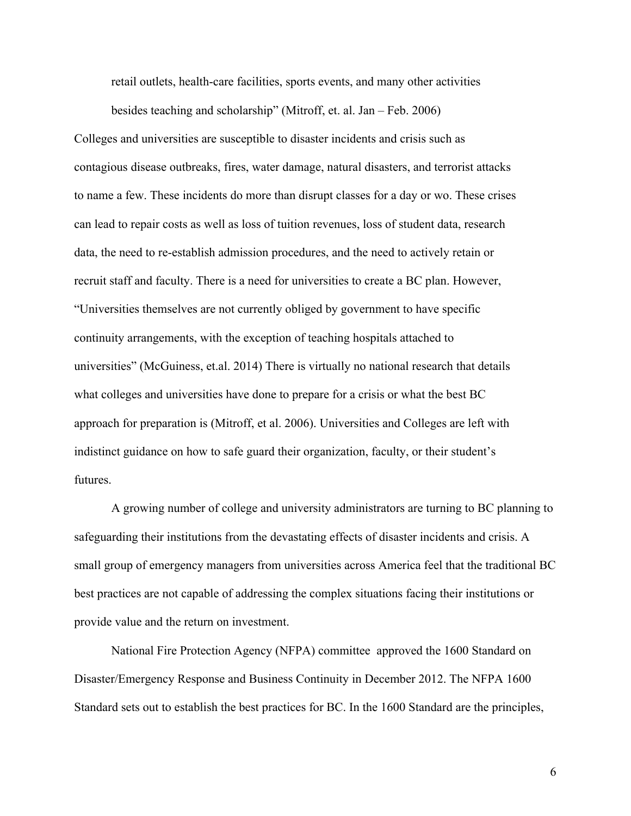retail outlets, health-care facilities, sports events, and many other activities

besides teaching and scholarship" (Mitroff, et. al. Jan – Feb. 2006)

Colleges and universities are susceptible to disaster incidents and crisis such as contagious disease outbreaks, fires, water damage, natural disasters, and terrorist attacks to name a few. These incidents do more than disrupt classes for a day or wo. These crises can lead to repair costs as well as loss of tuition revenues, loss of student data, research data, the need to re-establish admission procedures, and the need to actively retain or recruit staff and faculty. There is a need for universities to create a BC plan. However, "Universities themselves are not currently obliged by government to have specific continuity arrangements, with the exception of teaching hospitals attached to universities" (McGuiness, et.al. 2014) There is virtually no national research that details what colleges and universities have done to prepare for a crisis or what the best BC approach for preparation is (Mitroff, et al. 2006). Universities and Colleges are left with indistinct guidance on how to safe guard their organization, faculty, or their student's futures.

A growing number of college and university administrators are turning to BC planning to safeguarding their institutions from the devastating effects of disaster incidents and crisis. A small group of emergency managers from universities across America feel that the traditional BC best practices are not capable of addressing the complex situations facing their institutions or provide value and the return on investment.

National Fire Protection Agency (NFPA) committee approved the 1600 Standard on Disaster/Emergency Response and Business Continuity in December 2012. The NFPA 1600 Standard sets out to establish the best practices for BC. In the 1600 Standard are the principles,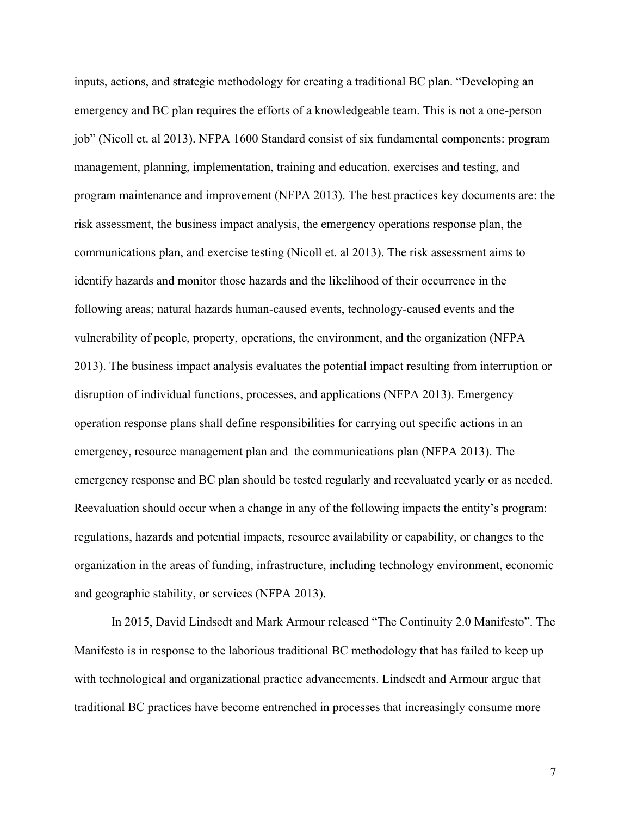inputs, actions, and strategic methodology for creating a traditional BC plan. "Developing an emergency and BC plan requires the efforts of a knowledgeable team. This is not a one-person job" (Nicoll et. al 2013). NFPA 1600 Standard consist of six fundamental components: program management, planning, implementation, training and education, exercises and testing, and program maintenance and improvement (NFPA 2013). The best practices key documents are: the risk assessment, the business impact analysis, the emergency operations response plan, the communications plan, and exercise testing (Nicoll et. al 2013). The risk assessment aims to identify hazards and monitor those hazards and the likelihood of their occurrence in the following areas; natural hazards human-caused events, technology-caused events and the vulnerability of people, property, operations, the environment, and the organization (NFPA 2013). The business impact analysis evaluates the potential impact resulting from interruption or disruption of individual functions, processes, and applications (NFPA 2013). Emergency operation response plans shall define responsibilities for carrying out specific actions in an emergency, resource management plan and the communications plan (NFPA 2013). The emergency response and BC plan should be tested regularly and reevaluated yearly or as needed. Reevaluation should occur when a change in any of the following impacts the entity's program: regulations, hazards and potential impacts, resource availability or capability, or changes to the organization in the areas of funding, infrastructure, including technology environment, economic and geographic stability, or services (NFPA 2013).

In 2015, David Lindsedt and Mark Armour released "The Continuity 2.0 Manifesto". The Manifesto is in response to the laborious traditional BC methodology that has failed to keep up with technological and organizational practice advancements. Lindsedt and Armour argue that traditional BC practices have become entrenched in processes that increasingly consume more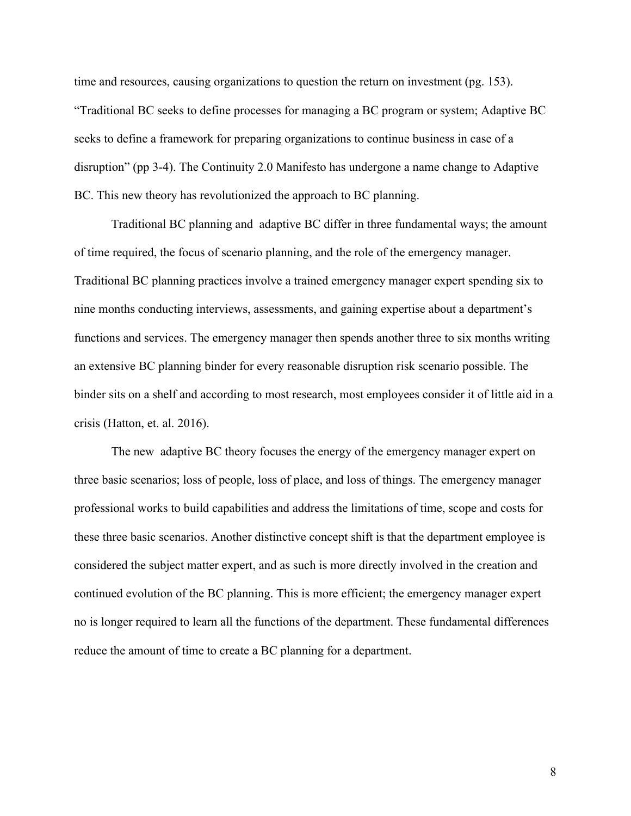time and resources, causing organizations to question the return on investment (pg. 153). "Traditional BC seeks to define processes for managing a BC program or system; Adaptive BC seeks to define a framework for preparing organizations to continue business in case of a disruption" (pp 3-4). The Continuity 2.0 Manifesto has undergone a name change to Adaptive BC. This new theory has revolutionized the approach to BC planning.

Traditional BC planning and adaptive BC differ in three fundamental ways; the amount of time required, the focus of scenario planning, and the role of the emergency manager. Traditional BC planning practices involve a trained emergency manager expert spending six to nine months conducting interviews, assessments, and gaining expertise about a department's functions and services. The emergency manager then spends another three to six months writing an extensive BC planning binder for every reasonable disruption risk scenario possible. The binder sits on a shelf and according to most research, most employees consider it of little aid in a crisis (Hatton, et. al. 2016).

The new adaptive BC theory focuses the energy of the emergency manager expert on three basic scenarios; loss of people, loss of place, and loss of things. The emergency manager professional works to build capabilities and address the limitations of time, scope and costs for these three basic scenarios. Another distinctive concept shift is that the department employee is considered the subject matter expert, and as such is more directly involved in the creation and continued evolution of the BC planning. This is more efficient; the emergency manager expert no is longer required to learn all the functions of the department. These fundamental differences reduce the amount of time to create a BC planning for a department.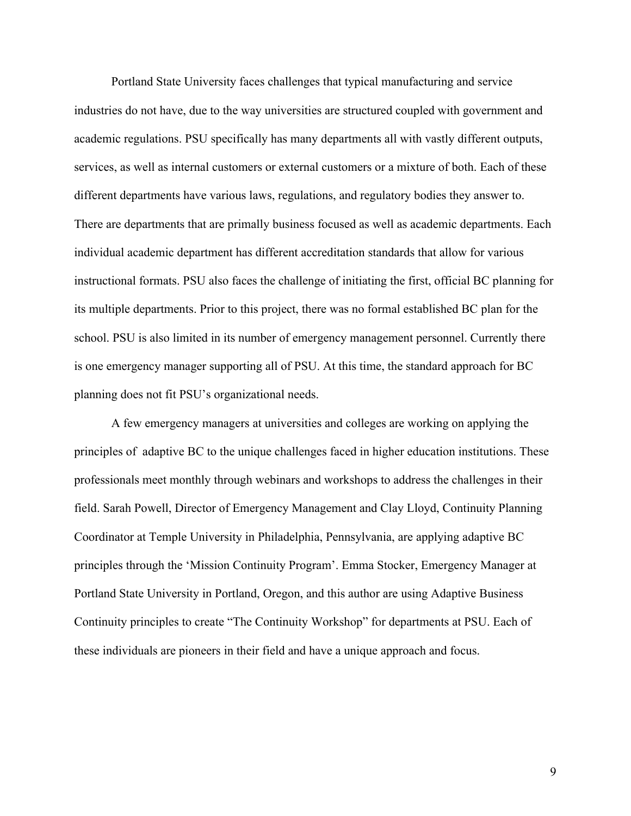Portland State University faces challenges that typical manufacturing and service industries do not have, due to the way universities are structured coupled with government and academic regulations. PSU specifically has many departments all with vastly different outputs, services, as well as internal customers or external customers or a mixture of both. Each of these different departments have various laws, regulations, and regulatory bodies they answer to. There are departments that are primally business focused as well as academic departments. Each individual academic department has different accreditation standards that allow for various instructional formats. PSU also faces the challenge of initiating the first, official BC planning for its multiple departments. Prior to this project, there was no formal established BC plan for the school. PSU is also limited in its number of emergency management personnel. Currently there is one emergency manager supporting all of PSU. At this time, the standard approach for BC planning does not fit PSU's organizational needs.

A few emergency managers at universities and colleges are working on applying the principles of adaptive BC to the unique challenges faced in higher education institutions. These professionals meet monthly through webinars and workshops to address the challenges in their field. Sarah Powell, Director of Emergency Management and Clay Lloyd, Continuity Planning Coordinator at Temple University in Philadelphia, Pennsylvania, are applying adaptive BC principles through the 'Mission Continuity Program'. Emma Stocker, Emergency Manager at Portland State University in Portland, Oregon, and this author are using Adaptive Business Continuity principles to create "The Continuity Workshop" for departments at PSU. Each of these individuals are pioneers in their field and have a unique approach and focus.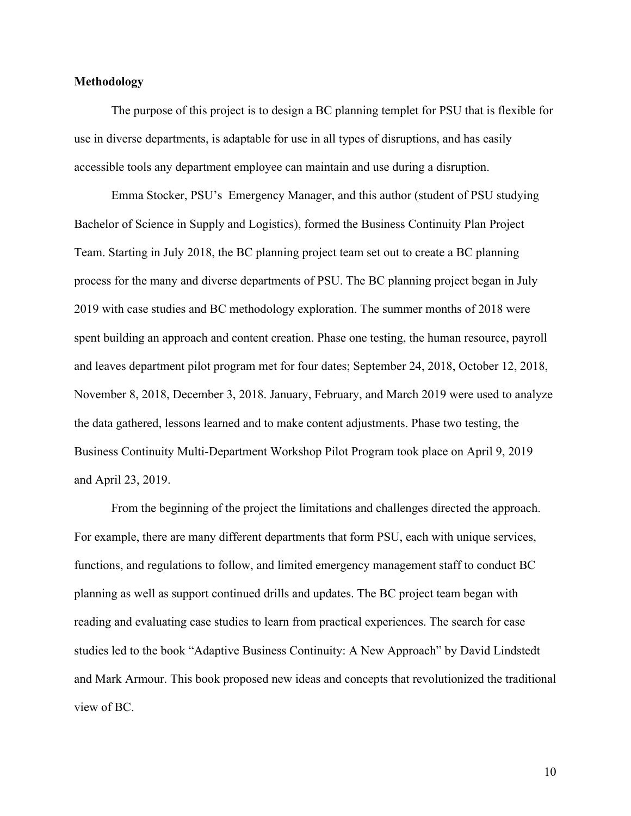## **Methodology**

The purpose of this project is to design a BC planning templet for PSU that is flexible for use in diverse departments, is adaptable for use in all types of disruptions, and has easily accessible tools any department employee can maintain and use during a disruption.

Emma Stocker, PSU's Emergency Manager, and this author (student of PSU studying Bachelor of Science in Supply and Logistics), formed the Business Continuity Plan Project Team. Starting in July 2018, the BC planning project team set out to create a BC planning process for the many and diverse departments of PSU. The BC planning project began in July 2019 with case studies and BC methodology exploration. The summer months of 2018 were spent building an approach and content creation. Phase one testing, the human resource, payroll and leaves department pilot program met for four dates; September 24, 2018, October 12, 2018, November 8, 2018, December 3, 2018. January, February, and March 2019 were used to analyze the data gathered, lessons learned and to make content adjustments. Phase two testing, the Business Continuity Multi-Department Workshop Pilot Program took place on April 9, 2019 and April 23, 2019.

From the beginning of the project the limitations and challenges directed the approach. For example, there are many different departments that form PSU, each with unique services, functions, and regulations to follow, and limited emergency management staff to conduct BC planning as well as support continued drills and updates. The BC project team began with reading and evaluating case studies to learn from practical experiences. The search for case studies led to the book "Adaptive Business Continuity: A New Approach" by David Lindstedt and Mark Armour. This book proposed new ideas and concepts that revolutionized the traditional view of BC.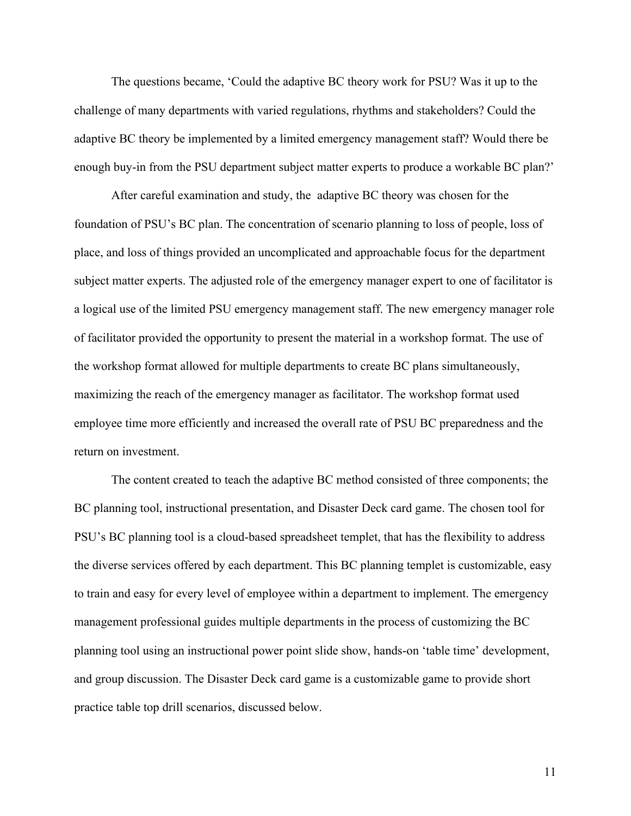The questions became, 'Could the adaptive BC theory work for PSU? Was it up to the challenge of many departments with varied regulations, rhythms and stakeholders? Could the adaptive BC theory be implemented by a limited emergency management staff? Would there be enough buy-in from the PSU department subject matter experts to produce a workable BC plan?'

After careful examination and study, the adaptive BC theory was chosen for the foundation of PSU's BC plan. The concentration of scenario planning to loss of people, loss of place, and loss of things provided an uncomplicated and approachable focus for the department subject matter experts. The adjusted role of the emergency manager expert to one of facilitator is a logical use of the limited PSU emergency management staff. The new emergency manager role of facilitator provided the opportunity to present the material in a workshop format. The use of the workshop format allowed for multiple departments to create BC plans simultaneously, maximizing the reach of the emergency manager as facilitator. The workshop format used employee time more efficiently and increased the overall rate of PSU BC preparedness and the return on investment.

The content created to teach the adaptive BC method consisted of three components; the BC planning tool, instructional presentation, and Disaster Deck card game. The chosen tool for PSU's BC planning tool is a cloud-based spreadsheet templet, that has the flexibility to address the diverse services offered by each department. This BC planning templet is customizable, easy to train and easy for every level of employee within a department to implement. The emergency management professional guides multiple departments in the process of customizing the BC planning tool using an instructional power point slide show, hands-on 'table time' development, and group discussion. The Disaster Deck card game is a customizable game to provide short practice table top drill scenarios, discussed below.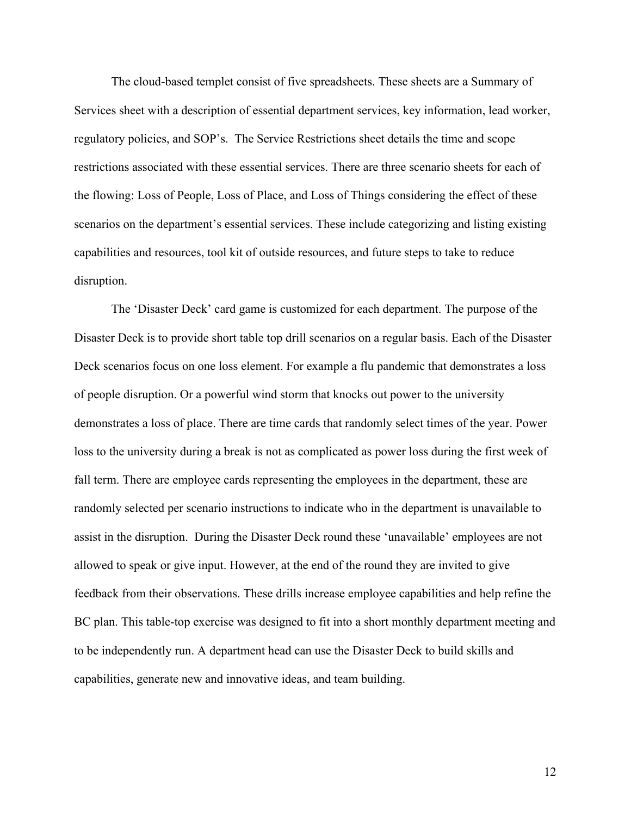The cloud-based templet consist of five spreadsheets. These sheets are a Summary of Services sheet with a description of essential department services, key information, lead worker, regulatory policies, and SOP's. The Service Restrictions sheet details the time and scope restrictions associated with these essential services. There are three scenario sheets for each of the flowing: Loss of People, Loss of Place, and Loss of Things considering the effect of these scenarios on the department's essential services. These include categorizing and listing existing capabilities and resources, tool kit of outside resources, and future steps to take to reduce disruption.

The 'Disaster Deck' card game is customized for each department. The purpose of the Disaster Deck is to provide short table top drill scenarios on a regular basis. Each of the Disaster Deck scenarios focus on one loss element. For example a flu pandemic that demonstrates a loss of people disruption. Or a powerful wind storm that knocks out power to the university demonstrates a loss of place. There are time cards that randomly select times of the year. Power loss to the university during a break is not as complicated as power loss during the first week of fall term. There are employee cards representing the employees in the department, these are randomly selected per scenario instructions to indicate who in the department is unavailable to assist in the disruption. During the Disaster Deck round these 'unavailable' employees are not allowed to speak or give input. However, at the end of the round they are invited to give feedback from their observations. These drills increase employee capabilities and help refine the BC plan. This table-top exercise was designed to fit into a short monthly department meeting and to be independently run. A department head can use the Disaster Deck to build skills and capabilities, generate new and innovative ideas, and team building.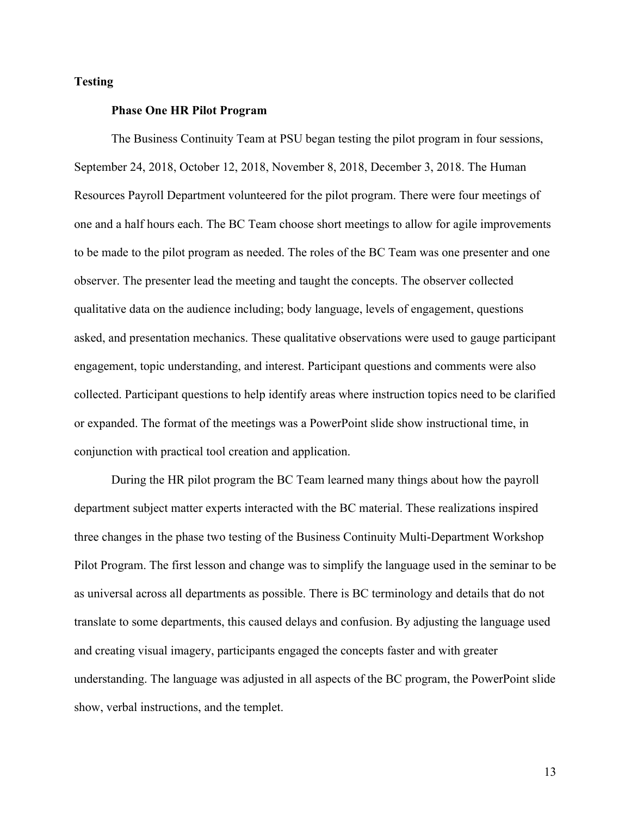# **Testing**

#### **Phase One HR Pilot Program**

The Business Continuity Team at PSU began testing the pilot program in four sessions, September 24, 2018, October 12, 2018, November 8, 2018, December 3, 2018. The Human Resources Payroll Department volunteered for the pilot program. There were four meetings of one and a half hours each. The BC Team choose short meetings to allow for agile improvements to be made to the pilot program as needed. The roles of the BC Team was one presenter and one observer. The presenter lead the meeting and taught the concepts. The observer collected qualitative data on the audience including; body language, levels of engagement, questions asked, and presentation mechanics. These qualitative observations were used to gauge participant engagement, topic understanding, and interest. Participant questions and comments were also collected. Participant questions to help identify areas where instruction topics need to be clarified or expanded. The format of the meetings was a PowerPoint slide show instructional time, in conjunction with practical tool creation and application.

During the HR pilot program the BC Team learned many things about how the payroll department subject matter experts interacted with the BC material. These realizations inspired three changes in the phase two testing of the Business Continuity Multi-Department Workshop Pilot Program. The first lesson and change was to simplify the language used in the seminar to be as universal across all departments as possible. There is BC terminology and details that do not translate to some departments, this caused delays and confusion. By adjusting the language used and creating visual imagery, participants engaged the concepts faster and with greater understanding. The language was adjusted in all aspects of the BC program, the PowerPoint slide show, verbal instructions, and the templet.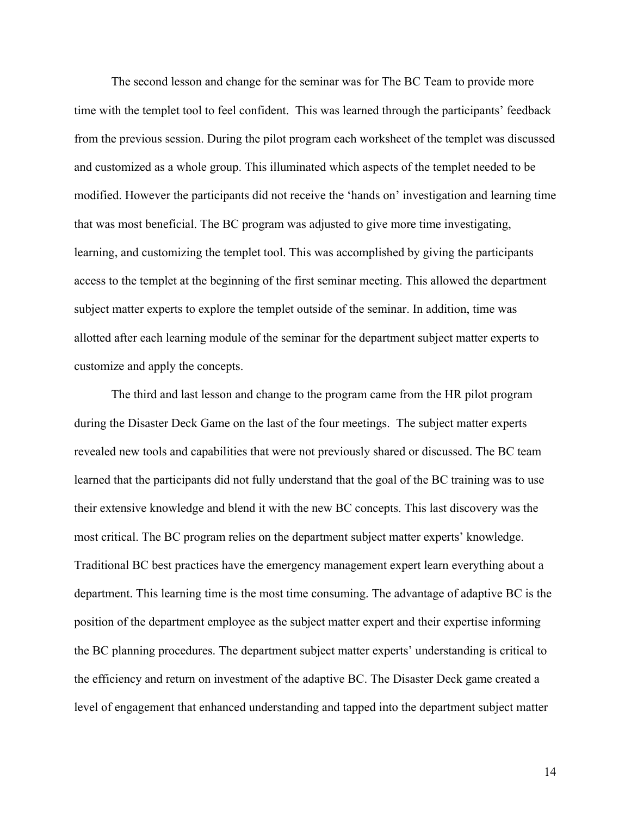The second lesson and change for the seminar was for The BC Team to provide more time with the templet tool to feel confident. This was learned through the participants' feedback from the previous session. During the pilot program each worksheet of the templet was discussed and customized as a whole group. This illuminated which aspects of the templet needed to be modified. However the participants did not receive the 'hands on' investigation and learning time that was most beneficial. The BC program was adjusted to give more time investigating, learning, and customizing the templet tool. This was accomplished by giving the participants access to the templet at the beginning of the first seminar meeting. This allowed the department subject matter experts to explore the templet outside of the seminar. In addition, time was allotted after each learning module of the seminar for the department subject matter experts to customize and apply the concepts.

The third and last lesson and change to the program came from the HR pilot program during the Disaster Deck Game on the last of the four meetings. The subject matter experts revealed new tools and capabilities that were not previously shared or discussed. The BC team learned that the participants did not fully understand that the goal of the BC training was to use their extensive knowledge and blend it with the new BC concepts. This last discovery was the most critical. The BC program relies on the department subject matter experts' knowledge. Traditional BC best practices have the emergency management expert learn everything about a department. This learning time is the most time consuming. The advantage of adaptive BC is the position of the department employee as the subject matter expert and their expertise informing the BC planning procedures. The department subject matter experts' understanding is critical to the efficiency and return on investment of the adaptive BC. The Disaster Deck game created a level of engagement that enhanced understanding and tapped into the department subject matter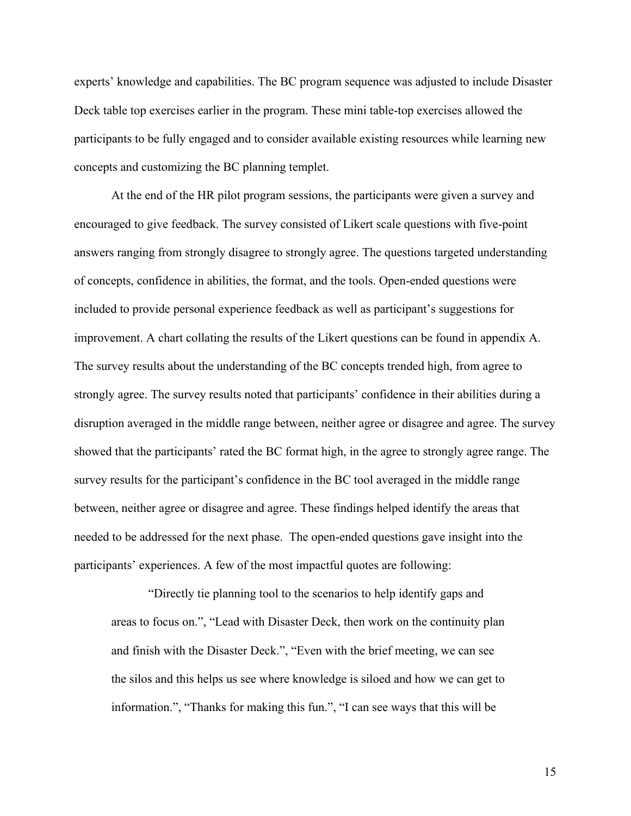experts' knowledge and capabilities. The BC program sequence was adjusted to include Disaster Deck table top exercises earlier in the program. These mini table-top exercises allowed the participants to be fully engaged and to consider available existing resources while learning new concepts and customizing the BC planning templet.

At the end of the HR pilot program sessions, the participants were given a survey and encouraged to give feedback. The survey consisted of Likert scale questions with five-point answers ranging from strongly disagree to strongly agree. The questions targeted understanding of concepts, confidence in abilities, the format, and the tools. Open-ended questions were included to provide personal experience feedback as well as participant's suggestions for improvement. A chart collating the results of the Likert questions can be found in appendix A. The survey results about the understanding of the BC concepts trended high, from agree to strongly agree. The survey results noted that participants' confidence in their abilities during a disruption averaged in the middle range between, neither agree or disagree and agree. The survey showed that the participants' rated the BC format high, in the agree to strongly agree range. The survey results for the participant's confidence in the BC tool averaged in the middle range between, neither agree or disagree and agree. These findings helped identify the areas that needed to be addressed for the next phase. The open-ended questions gave insight into the participants' experiences. A few of the most impactful quotes are following:

"Directly tie planning tool to the scenarios to help identify gaps and areas to focus on.", "Lead with Disaster Deck, then work on the continuity plan and finish with the Disaster Deck.", "Even with the brief meeting, we can see the silos and this helps us see where knowledge is siloed and how we can get to information.", "Thanks for making this fun.", "I can see ways that this will be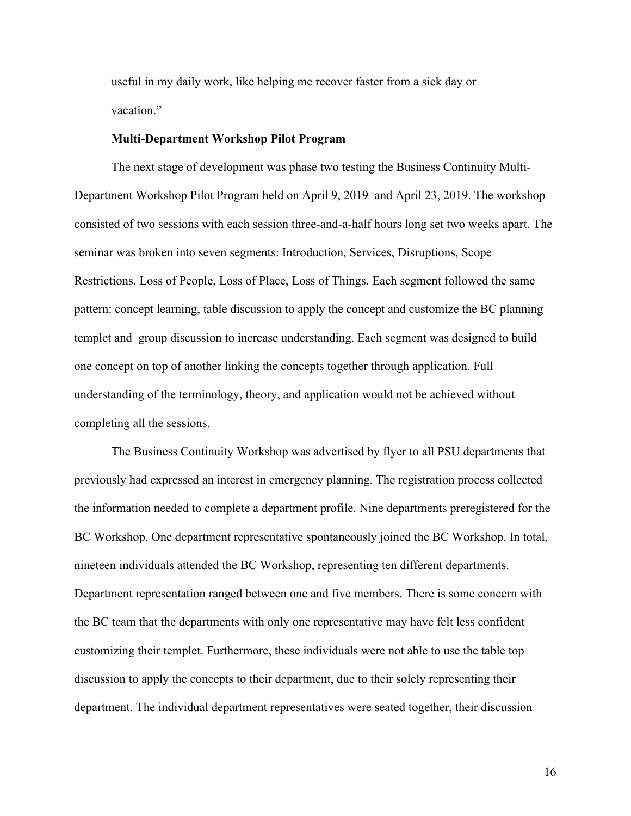useful in my daily work, like helping me recover faster from a sick day or vacation."

#### **Multi-Department Workshop Pilot Program**

The next stage of development was phase two testing the Business Continuity Multi-Department Workshop Pilot Program held on April 9, 2019 and April 23, 2019. The workshop consisted of two sessions with each session three-and-a-half hours long set two weeks apart. The seminar was broken into seven segments: Introduction, Services, Disruptions, Scope Restrictions, Loss of People, Loss of Place, Loss of Things. Each segment followed the same pattern: concept learning, table discussion to apply the concept and customize the BC planning templet and group discussion to increase understanding. Each segment was designed to build one concept on top of another linking the concepts together through application. Full understanding of the terminology, theory, and application would not be achieved without completing all the sessions.

The Business Continuity Workshop was advertised by flyer to all PSU departments that previously had expressed an interest in emergency planning. The registration process collected the information needed to complete a department profile. Nine departments preregistered for the BC Workshop. One department representative spontaneously joined the BC Workshop. In total, nineteen individuals attended the BC Workshop, representing ten different departments. Department representation ranged between one and five members. There is some concern with the BC team that the departments with only one representative may have felt less confident customizing their templet. Furthermore, these individuals were not able to use the table top discussion to apply the concepts to their department, due to their solely representing their department. The individual department representatives were seated together, their discussion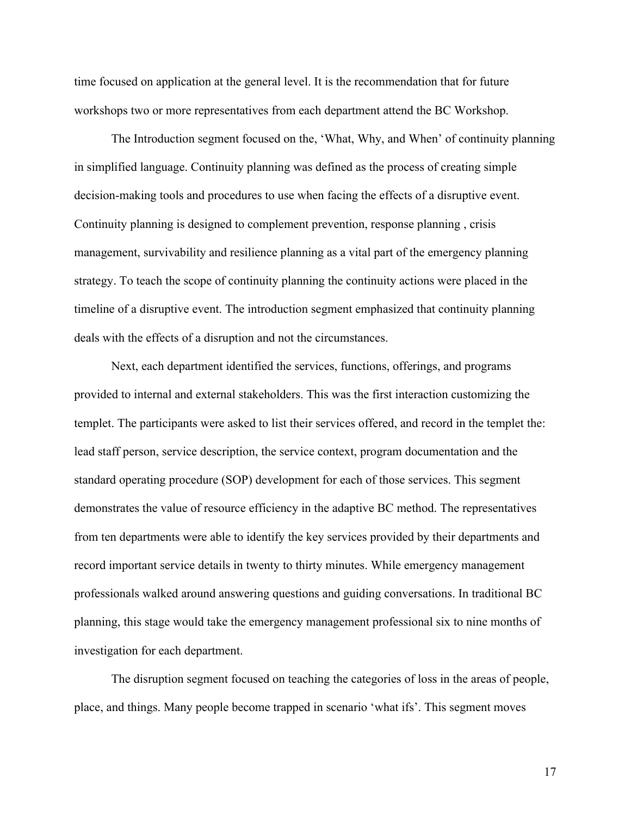time focused on application at the general level. It is the recommendation that for future workshops two or more representatives from each department attend the BC Workshop.

The Introduction segment focused on the, 'What, Why, and When' of continuity planning in simplified language. Continuity planning was defined as the process of creating simple decision-making tools and procedures to use when facing the effects of a disruptive event. Continuity planning is designed to complement prevention, response planning , crisis management, survivability and resilience planning as a vital part of the emergency planning strategy. To teach the scope of continuity planning the continuity actions were placed in the timeline of a disruptive event. The introduction segment emphasized that continuity planning deals with the effects of a disruption and not the circumstances.

Next, each department identified the services, functions, offerings, and programs provided to internal and external stakeholders. This was the first interaction customizing the templet. The participants were asked to list their services offered, and record in the templet the: lead staff person, service description, the service context, program documentation and the standard operating procedure (SOP) development for each of those services. This segment demonstrates the value of resource efficiency in the adaptive BC method. The representatives from ten departments were able to identify the key services provided by their departments and record important service details in twenty to thirty minutes. While emergency management professionals walked around answering questions and guiding conversations. In traditional BC planning, this stage would take the emergency management professional six to nine months of investigation for each department.

The disruption segment focused on teaching the categories of loss in the areas of people, place, and things. Many people become trapped in scenario 'what ifs'. This segment moves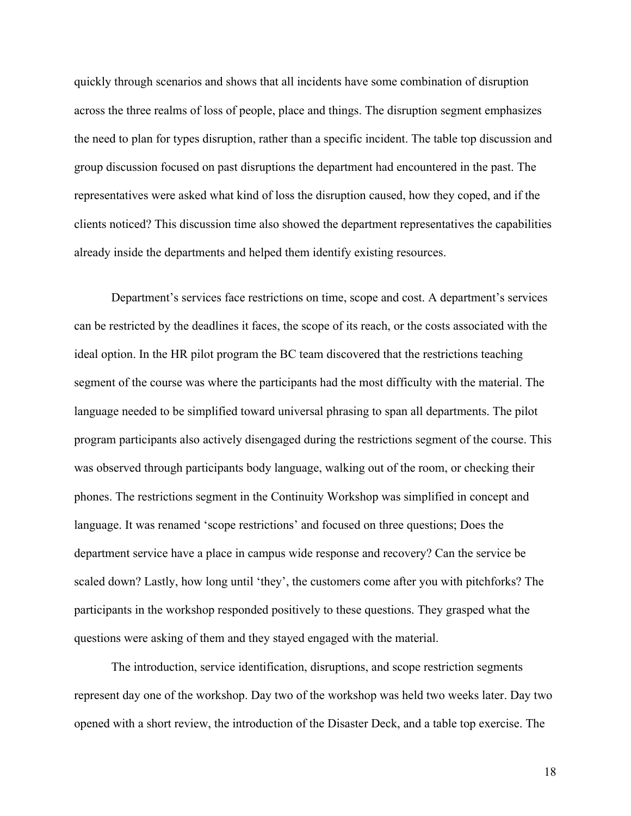quickly through scenarios and shows that all incidents have some combination of disruption across the three realms of loss of people, place and things. The disruption segment emphasizes the need to plan for types disruption, rather than a specific incident. The table top discussion and group discussion focused on past disruptions the department had encountered in the past. The representatives were asked what kind of loss the disruption caused, how they coped, and if the clients noticed? This discussion time also showed the department representatives the capabilities already inside the departments and helped them identify existing resources.

Department's services face restrictions on time, scope and cost. A department's services can be restricted by the deadlines it faces, the scope of its reach, or the costs associated with the ideal option. In the HR pilot program the BC team discovered that the restrictions teaching segment of the course was where the participants had the most difficulty with the material. The language needed to be simplified toward universal phrasing to span all departments. The pilot program participants also actively disengaged during the restrictions segment of the course. This was observed through participants body language, walking out of the room, or checking their phones. The restrictions segment in the Continuity Workshop was simplified in concept and language. It was renamed 'scope restrictions' and focused on three questions; Does the department service have a place in campus wide response and recovery? Can the service be scaled down? Lastly, how long until 'they', the customers come after you with pitchforks? The participants in the workshop responded positively to these questions. They grasped what the questions were asking of them and they stayed engaged with the material.

The introduction, service identification, disruptions, and scope restriction segments represent day one of the workshop. Day two of the workshop was held two weeks later. Day two opened with a short review, the introduction of the Disaster Deck, and a table top exercise. The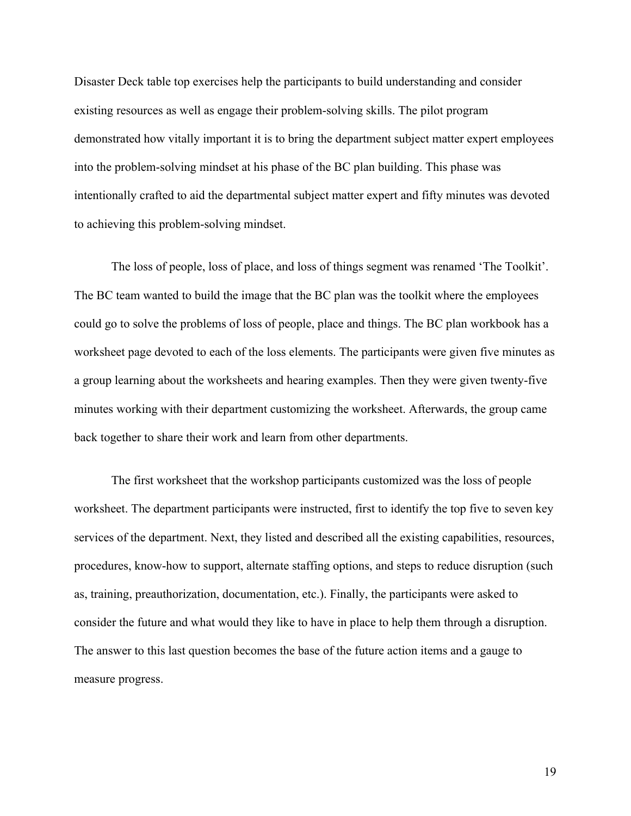Disaster Deck table top exercises help the participants to build understanding and consider existing resources as well as engage their problem-solving skills. The pilot program demonstrated how vitally important it is to bring the department subject matter expert employees into the problem-solving mindset at his phase of the BC plan building. This phase was intentionally crafted to aid the departmental subject matter expert and fifty minutes was devoted to achieving this problem-solving mindset.

The loss of people, loss of place, and loss of things segment was renamed 'The Toolkit'. The BC team wanted to build the image that the BC plan was the toolkit where the employees could go to solve the problems of loss of people, place and things. The BC plan workbook has a worksheet page devoted to each of the loss elements. The participants were given five minutes as a group learning about the worksheets and hearing examples. Then they were given twenty-five minutes working with their department customizing the worksheet. Afterwards, the group came back together to share their work and learn from other departments.

The first worksheet that the workshop participants customized was the loss of people worksheet. The department participants were instructed, first to identify the top five to seven key services of the department. Next, they listed and described all the existing capabilities, resources, procedures, know-how to support, alternate staffing options, and steps to reduce disruption (such as, training, preauthorization, documentation, etc.). Finally, the participants were asked to consider the future and what would they like to have in place to help them through a disruption. The answer to this last question becomes the base of the future action items and a gauge to measure progress.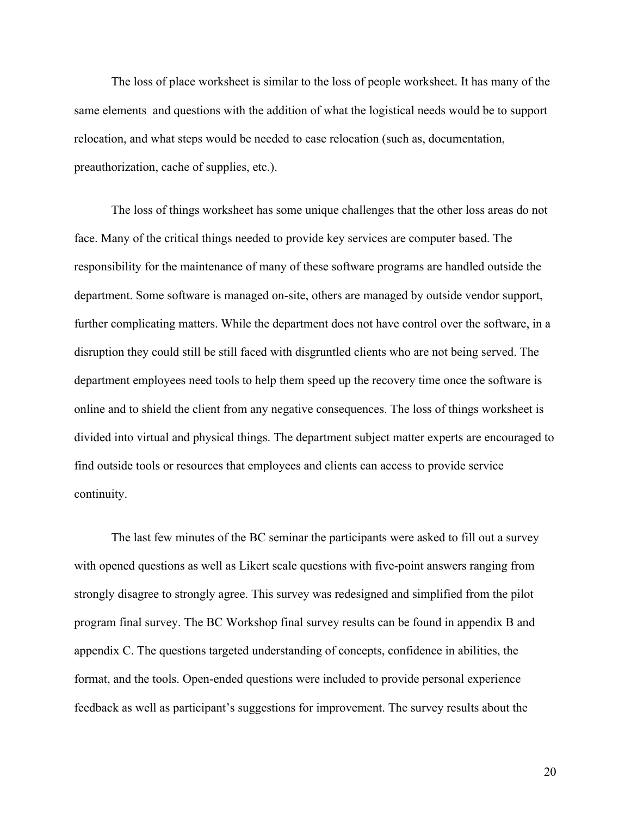The loss of place worksheet is similar to the loss of people worksheet. It has many of the same elements and questions with the addition of what the logistical needs would be to support relocation, and what steps would be needed to ease relocation (such as, documentation, preauthorization, cache of supplies, etc.).

The loss of things worksheet has some unique challenges that the other loss areas do not face. Many of the critical things needed to provide key services are computer based. The responsibility for the maintenance of many of these software programs are handled outside the department. Some software is managed on-site, others are managed by outside vendor support, further complicating matters. While the department does not have control over the software, in a disruption they could still be still faced with disgruntled clients who are not being served. The department employees need tools to help them speed up the recovery time once the software is online and to shield the client from any negative consequences. The loss of things worksheet is divided into virtual and physical things. The department subject matter experts are encouraged to find outside tools or resources that employees and clients can access to provide service continuity.

The last few minutes of the BC seminar the participants were asked to fill out a survey with opened questions as well as Likert scale questions with five-point answers ranging from strongly disagree to strongly agree. This survey was redesigned and simplified from the pilot program final survey. The BC Workshop final survey results can be found in appendix B and appendix C. The questions targeted understanding of concepts, confidence in abilities, the format, and the tools. Open-ended questions were included to provide personal experience feedback as well as participant's suggestions for improvement. The survey results about the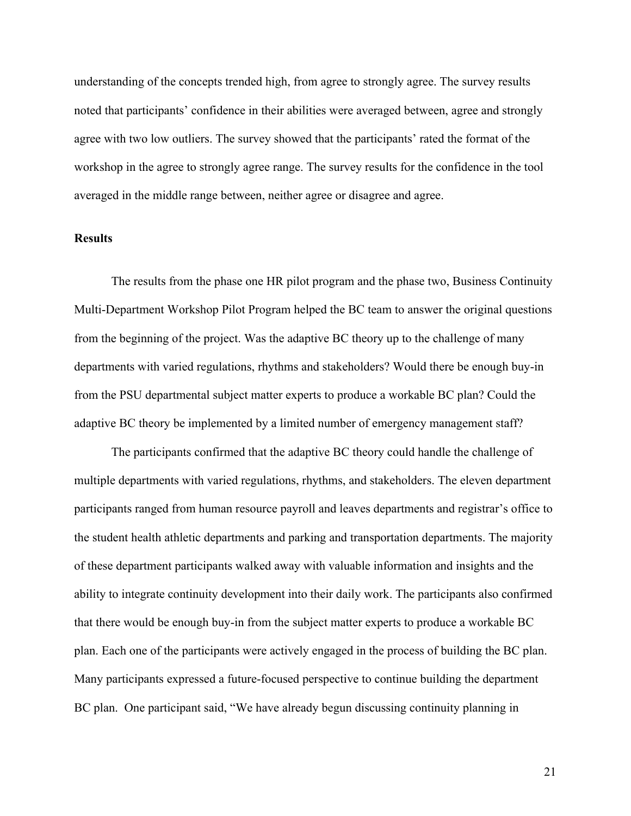understanding of the concepts trended high, from agree to strongly agree. The survey results noted that participants' confidence in their abilities were averaged between, agree and strongly agree with two low outliers. The survey showed that the participants' rated the format of the workshop in the agree to strongly agree range. The survey results for the confidence in the tool averaged in the middle range between, neither agree or disagree and agree.

# **Results**

The results from the phase one HR pilot program and the phase two, Business Continuity Multi-Department Workshop Pilot Program helped the BC team to answer the original questions from the beginning of the project. Was the adaptive BC theory up to the challenge of many departments with varied regulations, rhythms and stakeholders? Would there be enough buy-in from the PSU departmental subject matter experts to produce a workable BC plan? Could the adaptive BC theory be implemented by a limited number of emergency management staff?

The participants confirmed that the adaptive BC theory could handle the challenge of multiple departments with varied regulations, rhythms, and stakeholders. The eleven department participants ranged from human resource payroll and leaves departments and registrar's office to the student health athletic departments and parking and transportation departments. The majority of these department participants walked away with valuable information and insights and the ability to integrate continuity development into their daily work. The participants also confirmed that there would be enough buy-in from the subject matter experts to produce a workable BC plan. Each one of the participants were actively engaged in the process of building the BC plan. Many participants expressed a future-focused perspective to continue building the department BC plan. One participant said, "We have already begun discussing continuity planning in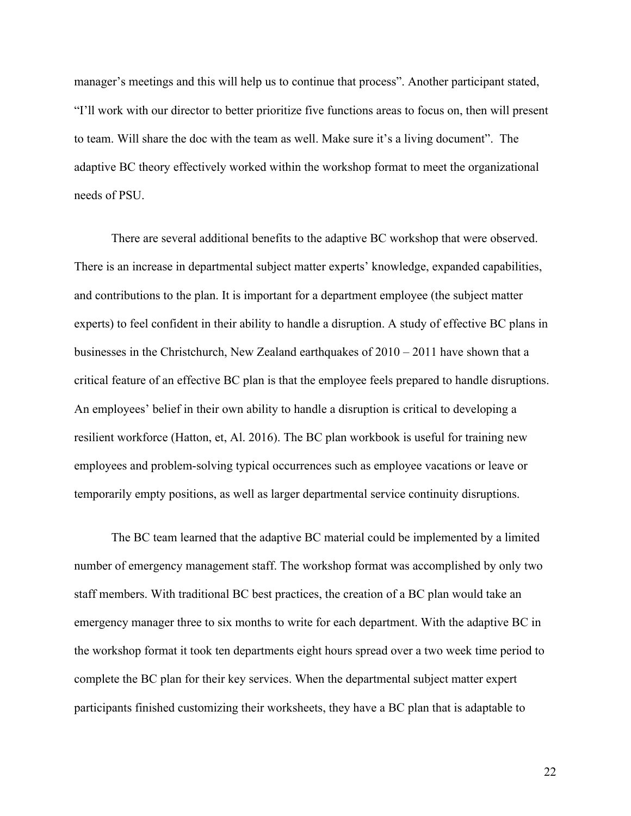manager's meetings and this will help us to continue that process". Another participant stated, "I'll work with our director to better prioritize five functions areas to focus on, then will present to team. Will share the doc with the team as well. Make sure it's a living document". The adaptive BC theory effectively worked within the workshop format to meet the organizational needs of PSU.

There are several additional benefits to the adaptive BC workshop that were observed. There is an increase in departmental subject matter experts' knowledge, expanded capabilities, and contributions to the plan. It is important for a department employee (the subject matter experts) to feel confident in their ability to handle a disruption. A study of effective BC plans in businesses in the Christchurch, New Zealand earthquakes of  $2010 - 2011$  have shown that a critical feature of an effective BC plan is that the employee feels prepared to handle disruptions. An employees' belief in their own ability to handle a disruption is critical to developing a resilient workforce (Hatton, et, Al. 2016). The BC plan workbook is useful for training new employees and problem-solving typical occurrences such as employee vacations or leave or temporarily empty positions, as well as larger departmental service continuity disruptions.

The BC team learned that the adaptive BC material could be implemented by a limited number of emergency management staff. The workshop format was accomplished by only two staff members. With traditional BC best practices, the creation of a BC plan would take an emergency manager three to six months to write for each department. With the adaptive BC in the workshop format it took ten departments eight hours spread over a two week time period to complete the BC plan for their key services. When the departmental subject matter expert participants finished customizing their worksheets, they have a BC plan that is adaptable to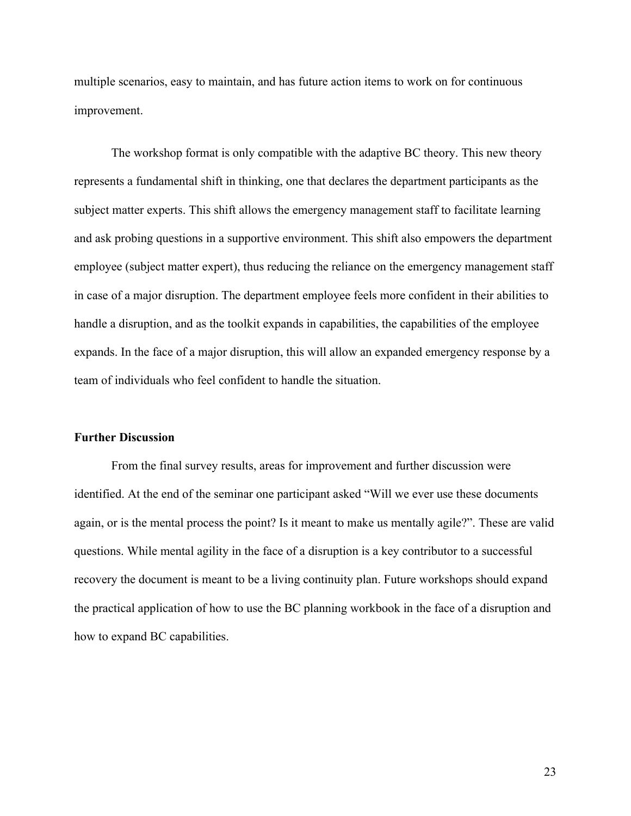multiple scenarios, easy to maintain, and has future action items to work on for continuous improvement.

The workshop format is only compatible with the adaptive BC theory. This new theory represents a fundamental shift in thinking, one that declares the department participants as the subject matter experts. This shift allows the emergency management staff to facilitate learning and ask probing questions in a supportive environment. This shift also empowers the department employee (subject matter expert), thus reducing the reliance on the emergency management staff in case of a major disruption. The department employee feels more confident in their abilities to handle a disruption, and as the toolkit expands in capabilities, the capabilities of the employee expands. In the face of a major disruption, this will allow an expanded emergency response by a team of individuals who feel confident to handle the situation.

# **Further Discussion**

From the final survey results, areas for improvement and further discussion were identified. At the end of the seminar one participant asked "Will we ever use these documents again, or is the mental process the point? Is it meant to make us mentally agile?". These are valid questions. While mental agility in the face of a disruption is a key contributor to a successful recovery the document is meant to be a living continuity plan. Future workshops should expand the practical application of how to use the BC planning workbook in the face of a disruption and how to expand BC capabilities.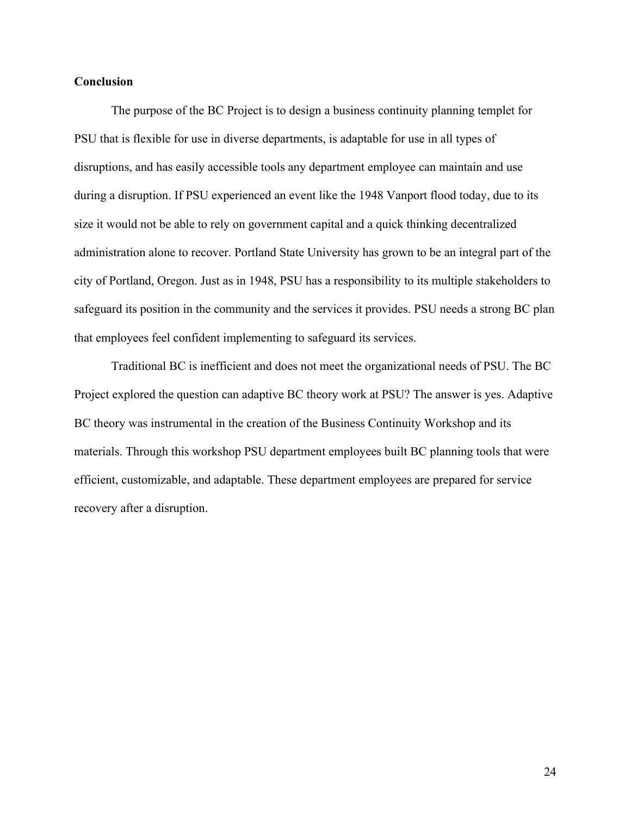# **Conclusion**

The purpose of the BC Project is to design a business continuity planning templet for PSU that is flexible for use in diverse departments, is adaptable for use in all types of disruptions, and has easily accessible tools any department employee can maintain and use during a disruption. If PSU experienced an event like the 1948 Vanport flood today, due to its size it would not be able to rely on government capital and a quick thinking decentralized administration alone to recover. Portland State University has grown to be an integral part of the city of Portland, Oregon. Just as in 1948, PSU has a responsibility to its multiple stakeholders to safeguard its position in the community and the services it provides. PSU needs a strong BC plan that employees feel confident implementing to safeguard its services.

Traditional BC is inefficient and does not meet the organizational needs of PSU. The BC Project explored the question can adaptive BC theory work at PSU? The answer is yes. Adaptive BC theory was instrumental in the creation of the Business Continuity Workshop and its materials. Through this workshop PSU department employees built BC planning tools that were efficient, customizable, and adaptable. These department employees are prepared for service recovery after a disruption.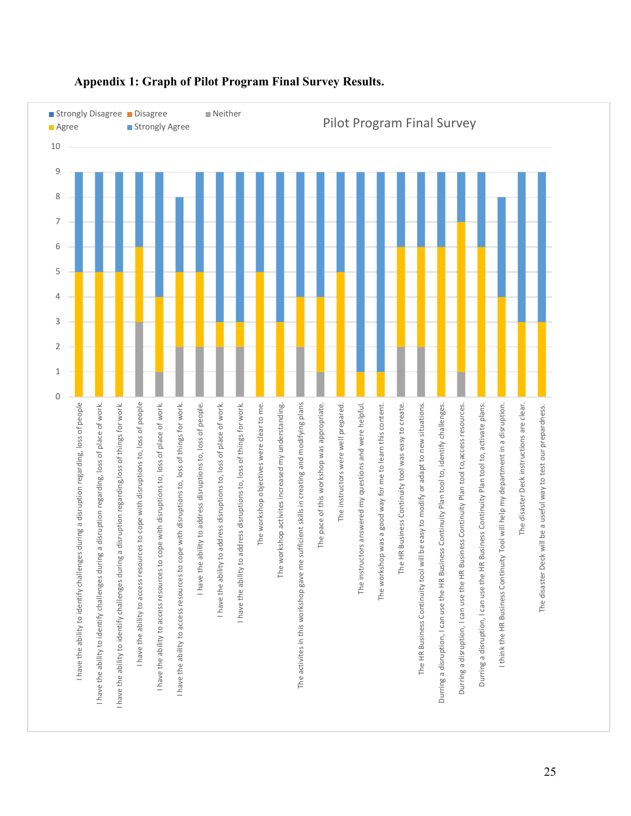

# **Appendix 1: Graph of Pilot Program Final Survey Results.**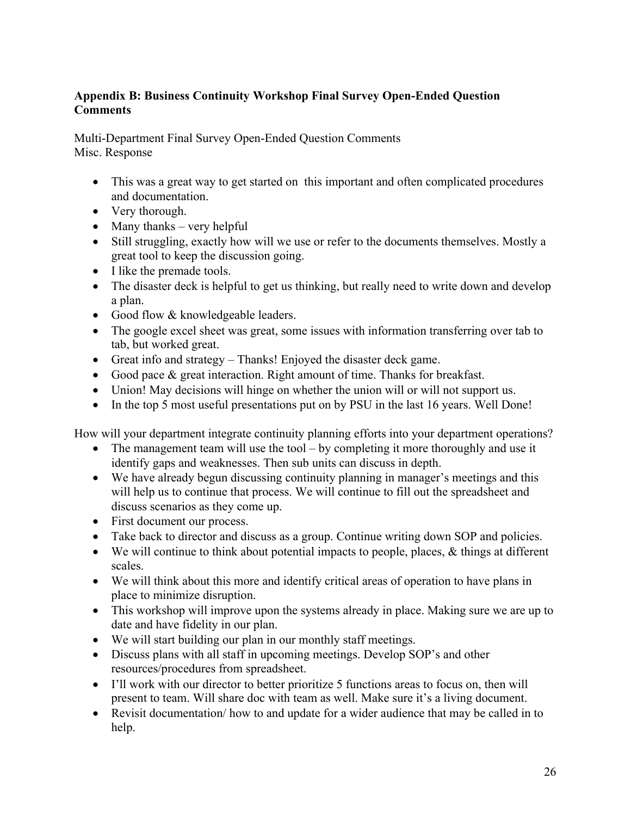# **Appendix B: Business Continuity Workshop Final Survey Open-Ended Question Comments**

Multi-Department Final Survey Open-Ended Question Comments Misc. Response

- This was a great way to get started on this important and often complicated procedures and documentation.
- Very thorough.
- Many thanks very helpful
- Still struggling, exactly how will we use or refer to the documents themselves. Mostly a great tool to keep the discussion going.
- I like the premade tools.
- The disaster deck is helpful to get us thinking, but really need to write down and develop a plan.
- Good flow & knowledgeable leaders.
- The google excel sheet was great, some issues with information transferring over tab to tab, but worked great.
- Great info and strategy Thanks! Enjoyed the disaster deck game.
- Good pace & great interaction. Right amount of time. Thanks for breakfast.
- Union! May decisions will hinge on whether the union will or will not support us.
- In the top 5 most useful presentations put on by PSU in the last 16 years. Well Done!

How will your department integrate continuity planning efforts into your department operations?

- The management team will use the tool  $-$  by completing it more thoroughly and use it identify gaps and weaknesses. Then sub units can discuss in depth.
- We have already begun discussing continuity planning in manager's meetings and this will help us to continue that process. We will continue to fill out the spreadsheet and discuss scenarios as they come up.
- First document our process.
- Take back to director and discuss as a group. Continue writing down SOP and policies.
- We will continue to think about potential impacts to people, places, & things at different scales.
- We will think about this more and identify critical areas of operation to have plans in place to minimize disruption.
- This workshop will improve upon the systems already in place. Making sure we are up to date and have fidelity in our plan.
- We will start building our plan in our monthly staff meetings.
- Discuss plans with all staff in upcoming meetings. Develop SOP's and other resources/procedures from spreadsheet.
- I'll work with our director to better prioritize 5 functions areas to focus on, then will present to team. Will share doc with team as well. Make sure it's a living document.
- Revisit documentation/ how to and update for a wider audience that may be called in to help.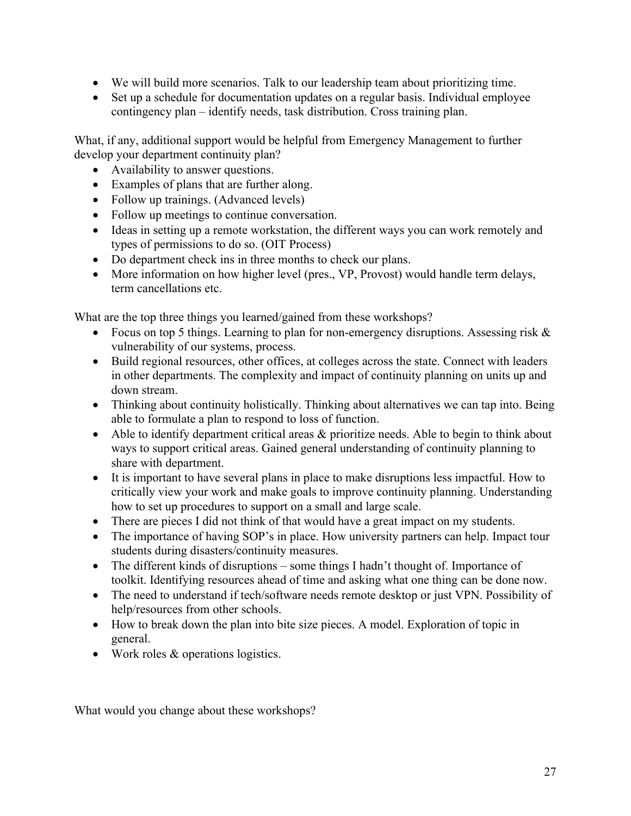- We will build more scenarios. Talk to our leadership team about prioritizing time.
- Set up a schedule for documentation updates on a regular basis. Individual employee contingency plan – identify needs, task distribution. Cross training plan.

What, if any, additional support would be helpful from Emergency Management to further develop your department continuity plan?

- Availability to answer questions.
- Examples of plans that are further along.
- Follow up trainings. (Advanced levels)
- Follow up meetings to continue conversation.
- Ideas in setting up a remote workstation, the different ways you can work remotely and types of permissions to do so. (OIT Process)
- Do department check ins in three months to check our plans.
- More information on how higher level (pres., VP, Provost) would handle term delays, term cancellations etc.

What are the top three things you learned/gained from these workshops?

- Focus on top 5 things. Learning to plan for non-emergency disruptions. Assessing risk & vulnerability of our systems, process.
- Build regional resources, other offices, at colleges across the state. Connect with leaders in other departments. The complexity and impact of continuity planning on units up and down stream.
- Thinking about continuity holistically. Thinking about alternatives we can tap into. Being able to formulate a plan to respond to loss of function.
- Able to identify department critical areas & prioritize needs. Able to begin to think about ways to support critical areas. Gained general understanding of continuity planning to share with department.
- It is important to have several plans in place to make disruptions less impactful. How to critically view your work and make goals to improve continuity planning. Understanding how to set up procedures to support on a small and large scale.
- There are pieces I did not think of that would have a great impact on my students.
- The importance of having SOP's in place. How university partners can help. Impact tour students during disasters/continuity measures.
- The different kinds of disruptions some things I hadn't thought of. Importance of toolkit. Identifying resources ahead of time and asking what one thing can be done now.
- The need to understand if tech/software needs remote desktop or just VPN. Possibility of help/resources from other schools.
- How to break down the plan into bite size pieces. A model. Exploration of topic in general.
- Work roles & operations logistics.

What would you change about these workshops?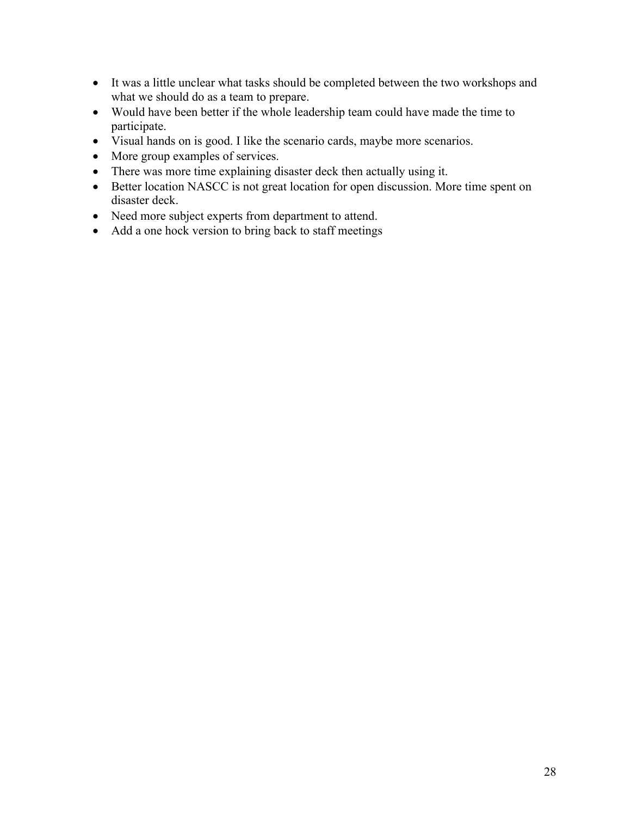- It was a little unclear what tasks should be completed between the two workshops and what we should do as a team to prepare.
- Would have been better if the whole leadership team could have made the time to participate.
- Visual hands on is good. I like the scenario cards, maybe more scenarios.
- More group examples of services.
- There was more time explaining disaster deck then actually using it.
- Better location NASCC is not great location for open discussion. More time spent on disaster deck.
- Need more subject experts from department to attend.
- Add a one hock version to bring back to staff meetings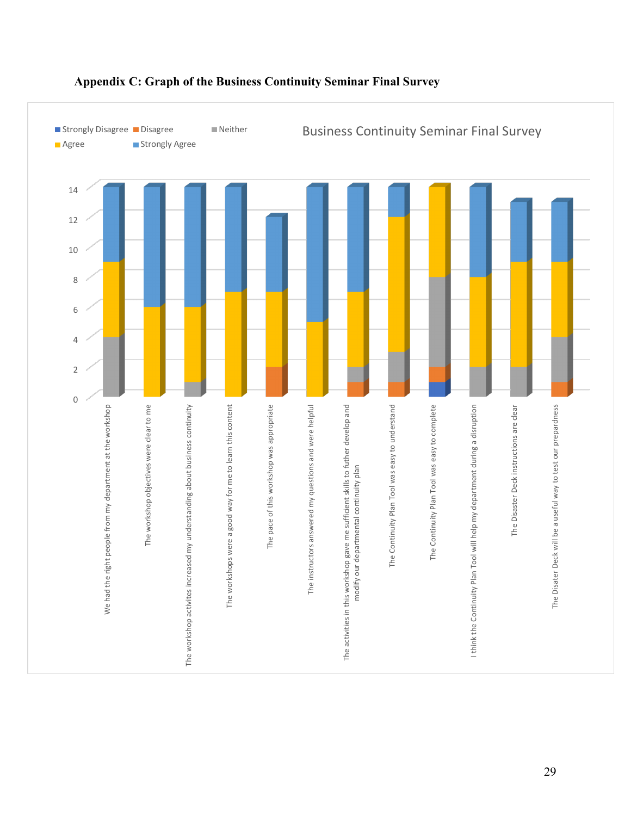

# **Appendix C: Graph of the Business Continuity Seminar Final Survey**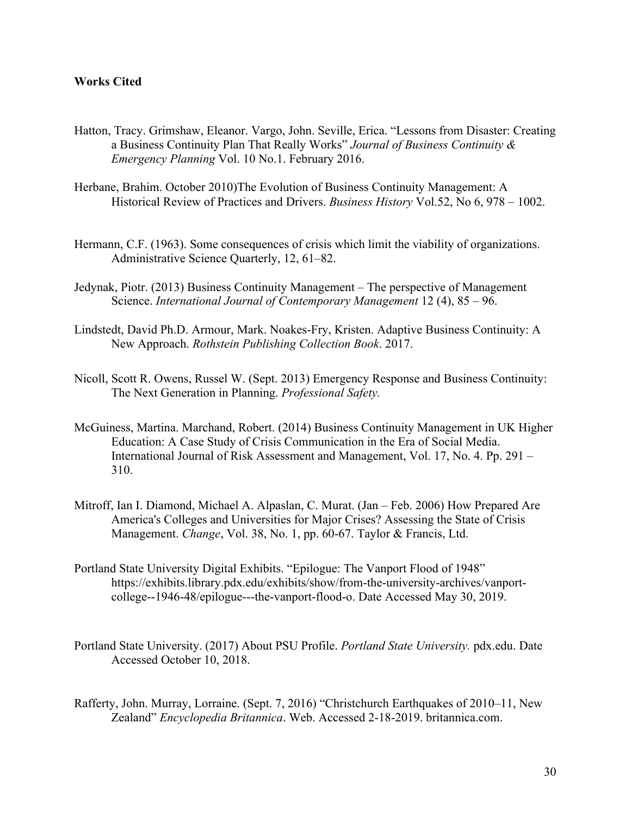# **Works Cited**

- Hatton, Tracy. Grimshaw, Eleanor. Vargo, John. Seville, Erica. "Lessons from Disaster: Creating a Business Continuity Plan That Really Works" *Journal of Business Continuity & Emergency Planning* Vol. 10 No.1. February 2016.
- Herbane, Brahim. October 2010)The Evolution of Business Continuity Management: A Historical Review of Practices and Drivers. *Business History* Vol.52, No 6, 978 – 1002.
- Hermann, C.F. (1963). Some consequences of crisis which limit the viability of organizations. Administrative Science Quarterly, 12, 61–82.
- Jedynak, Piotr. (2013) Business Continuity Management The perspective of Management Science. *International Journal of Contemporary Management* 12 (4), 85 – 96.
- Lindstedt, David Ph.D. Armour, Mark. Noakes-Fry, Kristen. Adaptive Business Continuity: A New Approach. *Rothstein Publishing Collection Book*. 2017.
- Nicoll, Scott R. Owens, Russel W. (Sept. 2013) Emergency Response and Business Continuity: The Next Generation in Planning. *Professional Safety.*
- McGuiness, Martina. Marchand, Robert. (2014) Business Continuity Management in UK Higher Education: A Case Study of Crisis Communication in the Era of Social Media. International Journal of Risk Assessment and Management, Vol. 17, No. 4. Pp. 291 – 310.
- Mitroff, Ian I. Diamond, Michael A. Alpaslan, C. Murat. (Jan Feb. 2006) How Prepared Are America's Colleges and Universities for Major Crises? Assessing the State of Crisis Management. *Change*, Vol. 38, No. 1, pp. 60-67. Taylor & Francis, Ltd.
- Portland State University Digital Exhibits. "Epilogue: The Vanport Flood of 1948" https://exhibits.library.pdx.edu/exhibits/show/from-the-university-archives/vanportcollege--1946-48/epilogue---the-vanport-flood-o. Date Accessed May 30, 2019.
- Portland State University. (2017) About PSU Profile. *Portland State University.* pdx.edu. Date Accessed October 10, 2018.
- Rafferty, John. Murray, Lorraine. (Sept. 7, 2016) "Christchurch Earthquakes of 2010–11, New Zealand" *Encyclopedia Britannica*. Web. Accessed 2-18-2019. britannica.com.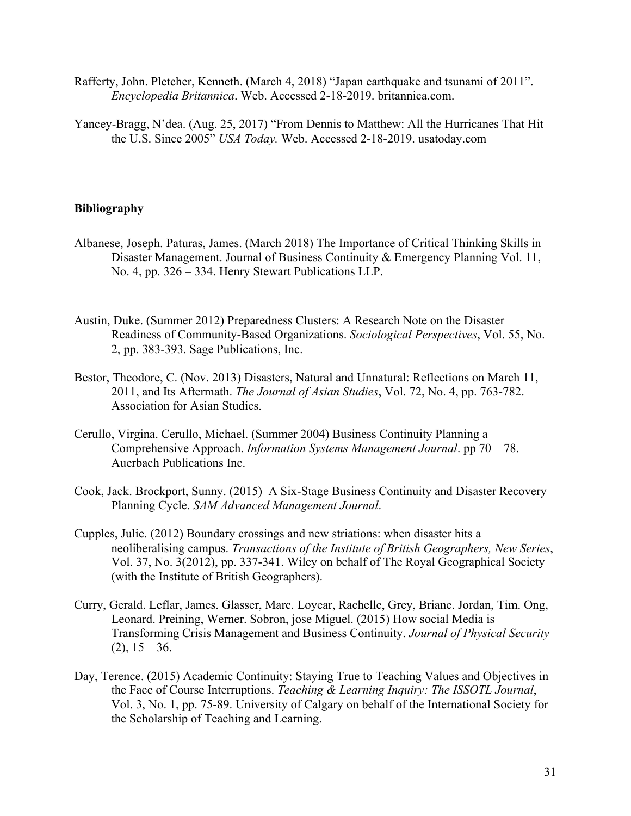- Rafferty, John. Pletcher, Kenneth. (March 4, 2018) "Japan earthquake and tsunami of 2011". *Encyclopedia Britannica*. Web. Accessed 2-18-2019. britannica.com.
- Yancey-Bragg, N'dea. (Aug. 25, 2017) "From Dennis to Matthew: All the Hurricanes That Hit the U.S. Since 2005" *USA Today.* Web. Accessed 2-18-2019. usatoday.com

# **Bibliography**

- Albanese, Joseph. Paturas, James. (March 2018) The Importance of Critical Thinking Skills in Disaster Management. Journal of Business Continuity & Emergency Planning Vol. 11, No. 4, pp. 326 – 334. Henry Stewart Publications LLP.
- Austin, Duke. (Summer 2012) Preparedness Clusters: A Research Note on the Disaster Readiness of Community-Based Organizations. *Sociological Perspectives*, Vol. 55, No. 2, pp. 383-393. Sage Publications, Inc.
- Bestor, Theodore, C. (Nov. 2013) Disasters, Natural and Unnatural: Reflections on March 11, 2011, and Its Aftermath. *The Journal of Asian Studies*, Vol. 72, No. 4, pp. 763-782. Association for Asian Studies.
- Cerullo, Virgina. Cerullo, Michael. (Summer 2004) Business Continuity Planning a Comprehensive Approach. *Information Systems Management Journal*. pp 70 – 78. Auerbach Publications Inc.
- Cook, Jack. Brockport, Sunny. (2015) A Six-Stage Business Continuity and Disaster Recovery Planning Cycle. *SAM Advanced Management Journal*.
- Cupples, Julie. (2012) Boundary crossings and new striations: when disaster hits a neoliberalising campus. *Transactions of the Institute of British Geographers, New Series*, Vol. 37, No. 3(2012), pp. 337-341. Wiley on behalf of The Royal Geographical Society (with the Institute of British Geographers).
- Curry, Gerald. Leflar, James. Glasser, Marc. Loyear, Rachelle, Grey, Briane. Jordan, Tim. Ong, Leonard. Preining, Werner. Sobron, jose Miguel. (2015) How social Media is Transforming Crisis Management and Business Continuity. *Journal of Physical Security*  $(2)$ ,  $15 - 36$ .
- Day, Terence. (2015) Academic Continuity: Staying True to Teaching Values and Objectives in the Face of Course Interruptions. *Teaching & Learning Inquiry: The ISSOTL Journal*, Vol. 3, No. 1, pp. 75-89. University of Calgary on behalf of the International Society for the Scholarship of Teaching and Learning.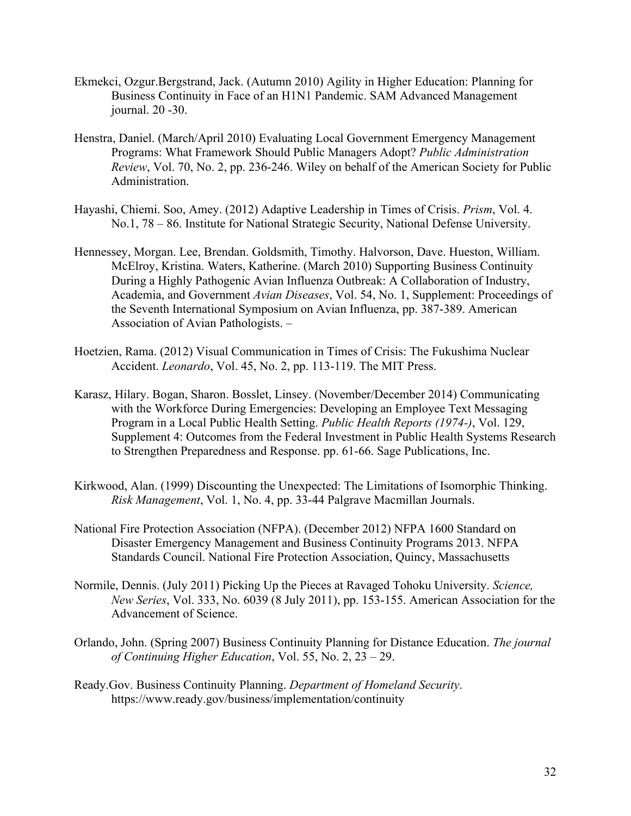- Ekmekci, Ozgur.Bergstrand, Jack. (Autumn 2010) Agility in Higher Education: Planning for Business Continuity in Face of an H1N1 Pandemic. SAM Advanced Management journal. 20 -30.
- Henstra, Daniel. (March/April 2010) Evaluating Local Government Emergency Management Programs: What Framework Should Public Managers Adopt? *Public Administration Review*, Vol. 70, No. 2, pp. 236-246. Wiley on behalf of the American Society for Public Administration.
- Hayashi, Chiemi. Soo, Amey. (2012) Adaptive Leadership in Times of Crisis. *Prism*, Vol. 4. No.1, 78 – 86. Institute for National Strategic Security, National Defense University.
- Hennessey, Morgan. Lee, Brendan. Goldsmith, Timothy. Halvorson, Dave. Hueston, William. McElroy, Kristina. Waters, Katherine. (March 2010) Supporting Business Continuity During a Highly Pathogenic Avian Influenza Outbreak: A Collaboration of Industry, Academia, and Government *Avian Diseases*, Vol. 54, No. 1, Supplement: Proceedings of the Seventh International Symposium on Avian Influenza, pp. 387-389. American Association of Avian Pathologists. –
- Hoetzien, Rama. (2012) Visual Communication in Times of Crisis: The Fukushima Nuclear Accident. *Leonardo*, Vol. 45, No. 2, pp. 113-119. The MIT Press.
- Karasz, Hilary. Bogan, Sharon. Bosslet, Linsey. (November/December 2014) Communicating with the Workforce During Emergencies: Developing an Employee Text Messaging Program in a Local Public Health Setting. *Public Health Reports (1974-)*, Vol. 129, Supplement 4: Outcomes from the Federal Investment in Public Health Systems Research to Strengthen Preparedness and Response. pp. 61-66. Sage Publications, Inc.
- Kirkwood, Alan. (1999) Discounting the Unexpected: The Limitations of Isomorphic Thinking. *Risk Management*, Vol. 1, No. 4, pp. 33-44 Palgrave Macmillan Journals.
- National Fire Protection Association (NFPA). (December 2012) NFPA 1600 Standard on Disaster Emergency Management and Business Continuity Programs 2013. NFPA Standards Council. National Fire Protection Association, Quincy, Massachusetts
- Normile, Dennis. (July 2011) Picking Up the Pieces at Ravaged Tohoku University. *Science, New Series*, Vol. 333, No. 6039 (8 July 2011), pp. 153-155. American Association for the Advancement of Science.
- Orlando, John. (Spring 2007) Business Continuity Planning for Distance Education. *The journal of Continuing Higher Education*, Vol. 55, No. 2, 23 – 29.
- Ready.Gov. Business Continuity Planning. *Department of Homeland Security*. https://www.ready.gov/business/implementation/continuity